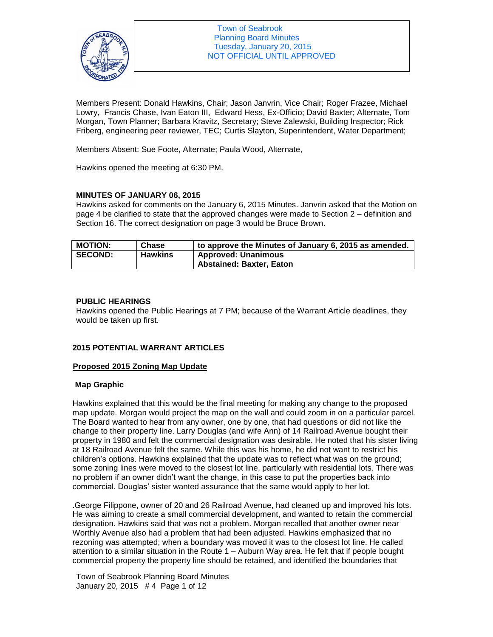

Members Present: Donald Hawkins, Chair; Jason Janvrin, Vice Chair; Roger Frazee, Michael Lowry, Francis Chase, Ivan Eaton III, Edward Hess, Ex-Officio; David Baxter; Alternate, Tom Morgan, Town Planner; Barbara Kravitz, Secretary; Steve Zalewski, Building Inspector; Rick Friberg, engineering peer reviewer, TEC; Curtis Slayton, Superintendent, Water Department;

Members Absent: Sue Foote, Alternate; Paula Wood, Alternate,

Hawkins opened the meeting at 6:30 PM.

## **MINUTES OF JANUARY 06, 2015**

Hawkins asked for comments on the January 6, 2015 Minutes. Janvrin asked that the Motion on page 4 be clarified to state that the approved changes were made to Section 2 – definition and Section 16. The correct designation on page 3 would be Bruce Brown.

| <b>MOTION:</b> | Chase          | to approve the Minutes of January 6, 2015 as amended.         |
|----------------|----------------|---------------------------------------------------------------|
| <b>SECOND:</b> | <b>Hawkins</b> | <b>Approved: Unanimous</b><br><b>Abstained: Baxter, Eaton</b> |
|                |                |                                                               |

## **PUBLIC HEARINGS**

Hawkins opened the Public Hearings at 7 PM; because of the Warrant Article deadlines, they would be taken up first.

## **2015 POTENTIAL WARRANT ARTICLES**

## **Proposed 2015 Zoning Map Update**

## **Map Graphic**

Hawkins explained that this would be the final meeting for making any change to the proposed map update. Morgan would project the map on the wall and could zoom in on a particular parcel. The Board wanted to hear from any owner, one by one, that had questions or did not like the change to their property line. Larry Douglas (and wife Ann) of 14 Railroad Avenue bought their property in 1980 and felt the commercial designation was desirable. He noted that his sister living at 18 Railroad Avenue felt the same. While this was his home, he did not want to restrict his children's options. Hawkins explained that the update was to reflect what was on the ground; some zoning lines were moved to the closest lot line, particularly with residential lots. There was no problem if an owner didn't want the change, in this case to put the properties back into commercial. Douglas' sister wanted assurance that the same would apply to her lot.

.George Filippone, owner of 20 and 26 Railroad Avenue, had cleaned up and improved his lots. He was aiming to create a small commercial development, and wanted to retain the commercial designation. Hawkins said that was not a problem. Morgan recalled that another owner near Worthly Avenue also had a problem that had been adjusted. Hawkins emphasized that no rezoning was attempted; when a boundary was moved it was to the closest lot line. He called attention to a similar situation in the Route 1 – Auburn Way area. He felt that if people bought commercial property the property line should be retained, and identified the boundaries that

Town of Seabrook Planning Board Minutes January 20, 2015 # 4 Page 1 of 12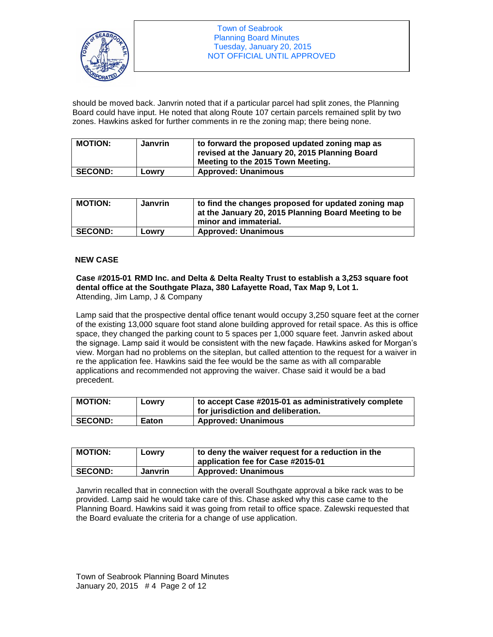

should be moved back. Janvrin noted that if a particular parcel had split zones, the Planning Board could have input. He noted that along Route 107 certain parcels remained split by two zones. Hawkins asked for further comments in re the zoning map; there being none.

| <b>MOTION:</b> | Janvrin | $\mathbf 1$ to forward the proposed updated zoning map as<br>revised at the January 20, 2015 Planning Board<br>Meeting to the 2015 Town Meeting. |
|----------------|---------|--------------------------------------------------------------------------------------------------------------------------------------------------|
| <b>SECOND:</b> | Lowry   | <b>Approved: Unanimous</b>                                                                                                                       |

| <b>MOTION:</b> | Janvrin | to find the changes proposed for updated zoning map<br>at the January 20, 2015 Planning Board Meeting to be<br>minor and immaterial. |
|----------------|---------|--------------------------------------------------------------------------------------------------------------------------------------|
| <b>SECOND:</b> | Lowry   | <b>Approved: Unanimous</b>                                                                                                           |

## **NEW CASE**

**Case #2015-01 RMD Inc. and Delta & Delta Realty Trust to establish a 3,253 square foot dental office at the Southgate Plaza, 380 Lafayette Road, Tax Map 9, Lot 1.** Attending, Jim Lamp, J & Company

Lamp said that the prospective dental office tenant would occupy 3,250 square feet at the corner of the existing 13,000 square foot stand alone building approved for retail space. As this is office space, they changed the parking count to 5 spaces per 1,000 square feet. Janvrin asked about the signage. Lamp said it would be consistent with the new façade. Hawkins asked for Morgan's view. Morgan had no problems on the siteplan, but called attention to the request for a waiver in re the application fee. Hawkins said the fee would be the same as with all comparable applications and recommended not approving the waiver. Chase said it would be a bad precedent.

| <b>MOTION:</b> | Lowry        | to accept Case #2015-01 as administratively complete<br>for jurisdiction and deliberation. |
|----------------|--------------|--------------------------------------------------------------------------------------------|
| <b>SECOND:</b> | <b>Eaton</b> | <b>Approved: Unanimous</b>                                                                 |

| <b>MOTION:</b> | LOWIV   | to deny the waiver request for a reduction in the<br>application fee for Case #2015-01 |
|----------------|---------|----------------------------------------------------------------------------------------|
| <b>SECOND:</b> | Janvrin | <b>Approved: Unanimous</b>                                                             |

Janvrin recalled that in connection with the overall Southgate approval a bike rack was to be provided. Lamp said he would take care of this. Chase asked why this case came to the Planning Board. Hawkins said it was going from retail to office space. Zalewski requested that the Board evaluate the criteria for a change of use application.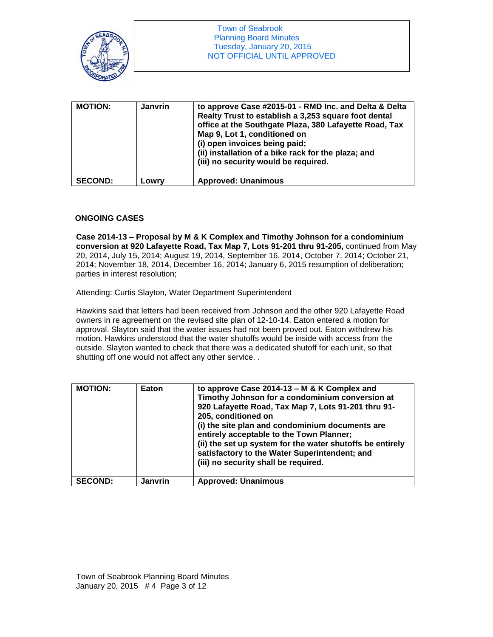

| <b>MOTION:</b> | <b>Janvrin</b> | to approve Case #2015-01 - RMD Inc. and Delta & Delta<br>Realty Trust to establish a 3,253 square foot dental<br>office at the Southgate Plaza, 380 Lafayette Road, Tax<br>Map 9, Lot 1, conditioned on<br>(i) open invoices being paid;<br>(ii) installation of a bike rack for the plaza; and<br>(iii) no security would be required. |
|----------------|----------------|-----------------------------------------------------------------------------------------------------------------------------------------------------------------------------------------------------------------------------------------------------------------------------------------------------------------------------------------|
| <b>SECOND:</b> | Lowrv          | <b>Approved: Unanimous</b>                                                                                                                                                                                                                                                                                                              |

## **ONGOING CASES**

**Case 2014-13 – Proposal by M & K Complex and Timothy Johnson for a condominium conversion at 920 Lafayette Road, Tax Map 7, Lots 91-201 thru 91-205,** continued from May 20, 2014, July 15, 2014; August 19, 2014, September 16, 2014, October 7, 2014; October 21, 2014; November 18, 2014, December 16, 2014; January 6, 2015 resumption of deliberation; parties in interest resolution;

Attending: Curtis Slayton, Water Department Superintendent

Hawkins said that letters had been received from Johnson and the other 920 Lafayette Road owners in re agreement on the revised site plan of 12-10-14. Eaton entered a motion for approval. Slayton said that the water issues had not been proved out. Eaton withdrew his motion. Hawkins understood that the water shutoffs would be inside with access from the outside. Slayton wanted to check that there was a dedicated shutoff for each unit, so that shutting off one would not affect any other service. .

| <b>MOTION:</b> | Eaton   | to approve Case 2014-13 - M & K Complex and<br>Timothy Johnson for a condominium conversion at<br>920 Lafayette Road, Tax Map 7, Lots 91-201 thru 91-<br>205, conditioned on<br>(i) the site plan and condominium documents are<br>entirely acceptable to the Town Planner;<br>(ii) the set up system for the water shutoffs be entirely<br>satisfactory to the Water Superintendent; and<br>(iii) no security shall be required. |
|----------------|---------|-----------------------------------------------------------------------------------------------------------------------------------------------------------------------------------------------------------------------------------------------------------------------------------------------------------------------------------------------------------------------------------------------------------------------------------|
| <b>SECOND:</b> | Janvrin | <b>Approved: Unanimous</b>                                                                                                                                                                                                                                                                                                                                                                                                        |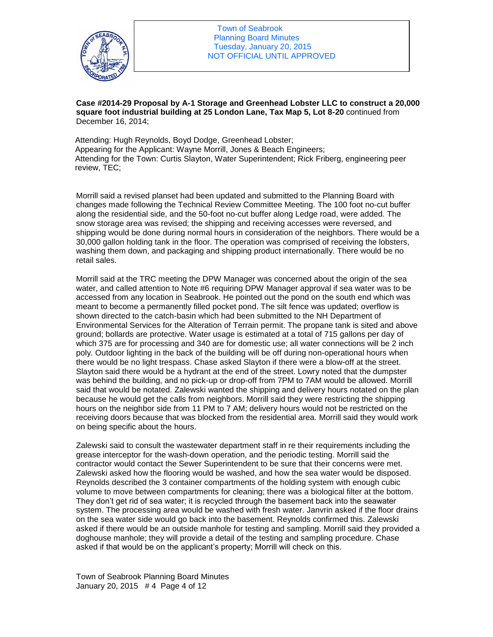

**Case #2014-29 Proposal by A-1 Storage and Greenhead Lobster LLC to construct a 20,000 square foot industrial building at 25 London Lane, Tax Map 5, Lot 8-20** continued from December 16, 2014;

Attending: Hugh Reynolds, Boyd Dodge, Greenhead Lobster; Appearing for the Applicant: Wayne Morrill, Jones & Beach Engineers; Attending for the Town: Curtis Slayton, Water Superintendent; Rick Friberg, engineering peer review, TEC;

Morrill said a revised planset had been updated and submitted to the Planning Board with changes made following the Technical Review Committee Meeting. The 100 foot no-cut buffer along the residential side, and the 50-foot no-cut buffer along Ledge road, were added. The snow storage area was revised; the shipping and receiving accesses were reversed, and shipping would be done during normal hours in consideration of the neighbors. There would be a 30,000 gallon holding tank in the floor. The operation was comprised of receiving the lobsters, washing them down, and packaging and shipping product internationally. There would be no retail sales.

Morrill said at the TRC meeting the DPW Manager was concerned about the origin of the sea water, and called attention to Note #6 requiring DPW Manager approval if sea water was to be accessed from any location in Seabrook. He pointed out the pond on the south end which was meant to become a permanently filled pocket pond. The silt fence was updated; overflow is shown directed to the catch-basin which had been submitted to the NH Department of Environmental Services for the Alteration of Terrain permit. The propane tank is sited and above ground; bollards are protective. Water usage is estimated at a total of 715 gallons per day of which 375 are for processing and 340 are for domestic use; all water connections will be 2 inch poly. Outdoor lighting in the back of the building will be off during non-operational hours when there would be no light trespass. Chase asked Slayton if there were a blow-off at the street. Slayton said there would be a hydrant at the end of the street. Lowry noted that the dumpster was behind the building, and no pick-up or drop-off from 7PM to 7AM would be allowed. Morrill said that would be notated. Zalewski wanted the shipping and delivery hours notated on the plan because he would get the calls from neighbors. Morrill said they were restricting the shipping hours on the neighbor side from 11 PM to 7 AM; delivery hours would not be restricted on the receiving doors because that was blocked from the residential area. Morrill said they would work on being specific about the hours.

Zalewski said to consult the wastewater department staff in re their requirements including the grease interceptor for the wash-down operation, and the periodic testing. Morrill said the contractor would contact the Sewer Superintendent to be sure that their concerns were met. Zalewski asked how the flooring would be washed, and how the sea water would be disposed. Reynolds described the 3 container compartments of the holding system with enough cubic volume to move between compartments for cleaning; there was a biological filter at the bottom. They don't get rid of sea water; it is recycled through the basement back into the seawater system. The processing area would be washed with fresh water. Janvrin asked if the floor drains on the sea water side would go back into the basement. Reynolds confirmed this. Zalewski asked if there would be an outside manhole for testing and sampling. Morrill said they provided a doghouse manhole; they will provide a detail of the testing and sampling procedure. Chase asked if that would be on the applicant's property; Morrill will check on this.

Town of Seabrook Planning Board Minutes January 20, 2015 # 4 Page 4 of 12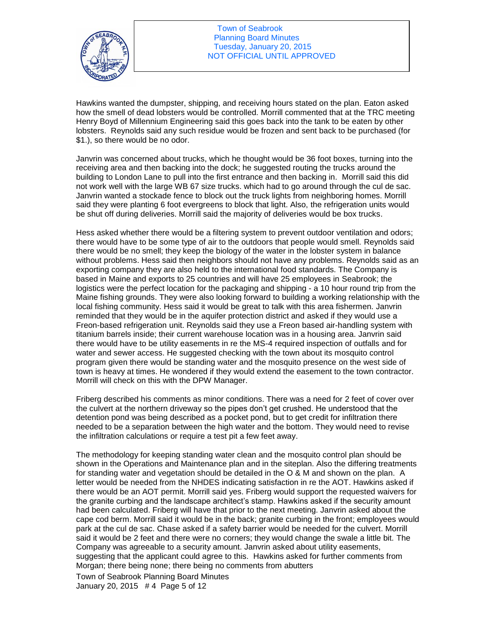

Town of Seabrook Planning Board Minutes Tuesday, January 20, 2015 NOT OFFICIAL UNTIL APPROVED

Hawkins wanted the dumpster, shipping, and receiving hours stated on the plan. Eaton asked how the smell of dead lobsters would be controlled. Morrill commented that at the TRC meeting Henry Boyd of Millennium Engineering said this goes back into the tank to be eaten by other lobsters. Reynolds said any such residue would be frozen and sent back to be purchased (for \$1.), so there would be no odor.

Janvrin was concerned about trucks, which he thought would be 36 foot boxes, turning into the receiving area and then backing into the dock; he suggested routing the trucks around the building to London Lane to pull into the first entrance and then backing in. Morrill said this did not work well with the large WB 67 size trucks. which had to go around through the cul de sac. Janvrin wanted a stockade fence to block out the truck lights from neighboring homes. Morrill said they were planting 6 foot evergreens to block that light. Also, the refrigeration units would be shut off during deliveries. Morrill said the majority of deliveries would be box trucks.

Hess asked whether there would be a filtering system to prevent outdoor ventilation and odors; there would have to be some type of air to the outdoors that people would smell. Reynolds said there would be no smell; they keep the biology of the water in the lobster system in balance without problems. Hess said then neighbors should not have any problems. Reynolds said as an exporting company they are also held to the international food standards. The Company is based in Maine and exports to 25 countries and will have 25 employees in Seabrook; the logistics were the perfect location for the packaging and shipping - a 10 hour round trip from the Maine fishing grounds. They were also looking forward to building a working relationship with the local fishing community. Hess said it would be great to talk with this area fishermen. Janvrin reminded that they would be in the aquifer protection district and asked if they would use a Freon-based refrigeration unit. Reynolds said they use a Freon based air-handling system with titanium barrels inside; their current warehouse location was in a housing area. Janvrin said there would have to be utility easements in re the MS-4 required inspection of outfalls and for water and sewer access. He suggested checking with the town about its mosquito control program given there would be standing water and the mosquito presence on the west side of town is heavy at times. He wondered if they would extend the easement to the town contractor. Morrill will check on this with the DPW Manager.

Friberg described his comments as minor conditions. There was a need for 2 feet of cover over the culvert at the northern driveway so the pipes don't get crushed. He understood that the detention pond was being described as a pocket pond, but to get credit for infiltration there needed to be a separation between the high water and the bottom. They would need to revise the infiltration calculations or require a test pit a few feet away.

The methodology for keeping standing water clean and the mosquito control plan should be shown in the Operations and Maintenance plan and in the siteplan. Also the differing treatments for standing water and vegetation should be detailed in the O & M and shown on the plan. A letter would be needed from the NHDES indicating satisfaction in re the AOT. Hawkins asked if there would be an AOT permit. Morrill said yes. Friberg would support the requested waivers for the granite curbing and the landscape architect's stamp. Hawkins asked if the security amount had been calculated. Friberg will have that prior to the next meeting. Janvrin asked about the cape cod berm. Morrill said it would be in the back; granite curbing in the front; employees would park at the cul de sac. Chase asked if a safety barrier would be needed for the culvert. Morrill said it would be 2 feet and there were no corners; they would change the swale a little bit. The Company was agreeable to a security amount. Janvrin asked about utility easements, suggesting that the applicant could agree to this. Hawkins asked for further comments from Morgan; there being none; there being no comments from abutters

Town of Seabrook Planning Board Minutes January 20, 2015 # 4 Page 5 of 12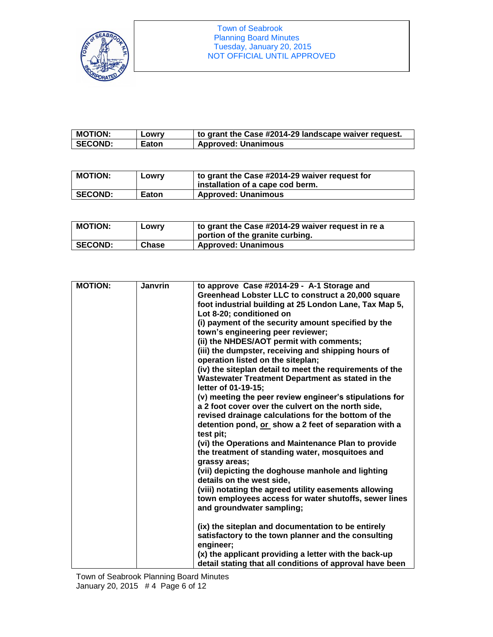

| <b>MOTION:</b> | Lowry | to grant the Case #2014-29 landscape waiver request. |
|----------------|-------|------------------------------------------------------|
| <b>SECOND:</b> | Eaton | <b>Approved: Unanimous</b>                           |

| <b>MOTION:</b> | Lowry        | to grant the Case #2014-29 waiver request for<br>installation of a cape cod berm. |
|----------------|--------------|-----------------------------------------------------------------------------------|
| <b>SECOND:</b> | <b>Eaton</b> | <b>Approved: Unanimous</b>                                                        |

| <b>MOTION:</b> | Lowry | to grant the Case #2014-29 waiver request in re a<br>portion of the granite curbing. |
|----------------|-------|--------------------------------------------------------------------------------------|
| <b>SECOND:</b> | Chase | <b>Approved: Unanimous</b>                                                           |

| <b>MOTION:</b> | <b>Janvrin</b> | to approve Case #2014-29 - A-1 Storage and               |
|----------------|----------------|----------------------------------------------------------|
|                |                | Greenhead Lobster LLC to construct a 20,000 square       |
|                |                | foot industrial building at 25 London Lane, Tax Map 5,   |
|                |                | Lot 8-20; conditioned on                                 |
|                |                | (i) payment of the security amount specified by the      |
|                |                | town's engineering peer reviewer;                        |
|                |                | (ii) the NHDES/AOT permit with comments;                 |
|                |                | (iii) the dumpster, receiving and shipping hours of      |
|                |                | operation listed on the siteplan;                        |
|                |                | (iv) the siteplan detail to meet the requirements of the |
|                |                | Wastewater Treatment Department as stated in the         |
|                |                | letter of 01-19-15;                                      |
|                |                | (v) meeting the peer review engineer's stipulations for  |
|                |                | a 2 foot cover over the culvert on the north side,       |
|                |                | revised drainage calculations for the bottom of the      |
|                |                | detention pond, or show a 2 feet of separation with a    |
|                |                | test pit;                                                |
|                |                | (vi) the Operations and Maintenance Plan to provide      |
|                |                | the treatment of standing water, mosquitoes and          |
|                |                | grassy areas;                                            |
|                |                | (vii) depicting the doghouse manhole and lighting        |
|                |                | details on the west side,                                |
|                |                | (viii) notating the agreed utility easements allowing    |
|                |                | town employees access for water shutoffs, sewer lines    |
|                |                | and groundwater sampling;                                |
|                |                |                                                          |
|                |                | (ix) the siteplan and documentation to be entirely       |
|                |                | satisfactory to the town planner and the consulting      |
|                |                | engineer;                                                |
|                |                | (x) the applicant providing a letter with the back-up    |
|                |                | detail stating that all conditions of approval have been |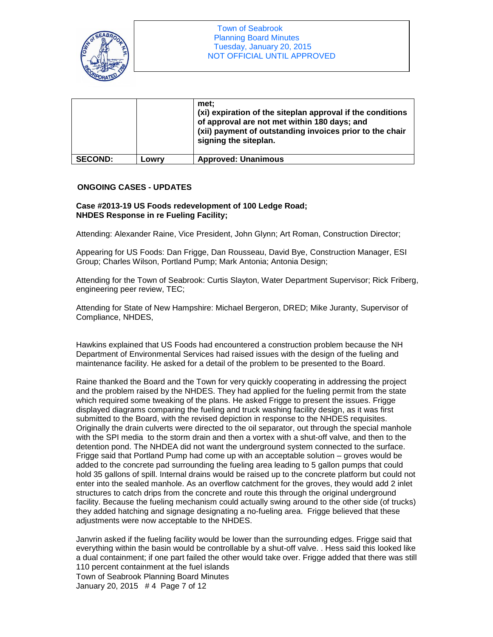

|                |       | met:<br>(xi) expiration of the siteplan approval if the conditions<br>of approval are not met within 180 days; and<br>(xii) payment of outstanding invoices prior to the chair<br>signing the siteplan. |
|----------------|-------|---------------------------------------------------------------------------------------------------------------------------------------------------------------------------------------------------------|
| <b>SECOND:</b> | Lowrv | <b>Approved: Unanimous</b>                                                                                                                                                                              |

## **ONGOING CASES - UPDATES**

## **Case #2013-19 US Foods redevelopment of 100 Ledge Road; NHDES Response in re Fueling Facility;**

Attending: Alexander Raine, Vice President, John Glynn; Art Roman, Construction Director;

Appearing for US Foods: Dan Frigge, Dan Rousseau, David Bye, Construction Manager, ESI Group; Charles Wilson, Portland Pump; Mark Antonia; Antonia Design;

Attending for the Town of Seabrook: Curtis Slayton, Water Department Supervisor; Rick Friberg, engineering peer review, TEC;

Attending for State of New Hampshire: Michael Bergeron, DRED; Mike Juranty, Supervisor of Compliance, NHDES,

Hawkins explained that US Foods had encountered a construction problem because the NH Department of Environmental Services had raised issues with the design of the fueling and maintenance facility. He asked for a detail of the problem to be presented to the Board.

Raine thanked the Board and the Town for very quickly cooperating in addressing the project and the problem raised by the NHDES. They had applied for the fueling permit from the state which required some tweaking of the plans. He asked Frigge to present the issues. Frigge displayed diagrams comparing the fueling and truck washing facility design, as it was first submitted to the Board, with the revised depiction in response to the NHDES requisites. Originally the drain culverts were directed to the oil separator, out through the special manhole with the SPI media to the storm drain and then a vortex with a shut-off valve, and then to the detention pond. The NHDEA did not want the underground system connected to the surface. Frigge said that Portland Pump had come up with an acceptable solution – groves would be added to the concrete pad surrounding the fueling area leading to 5 gallon pumps that could hold 35 gallons of spill. Internal drains would be raised up to the concrete platform but could not enter into the sealed manhole. As an overflow catchment for the groves, they would add 2 inlet structures to catch drips from the concrete and route this through the original underground facility. Because the fueling mechanism could actually swing around to the other side (of trucks) they added hatching and signage designating a no-fueling area. Frigge believed that these adjustments were now acceptable to the NHDES.

Town of Seabrook Planning Board Minutes Janvrin asked if the fueling facility would be lower than the surrounding edges. Frigge said that everything within the basin would be controllable by a shut-off valve. . Hess said this looked like a dual containment; if one part failed the other would take over. Frigge added that there was still 110 percent containment at the fuel islands

January 20, 2015 # 4 Page 7 of 12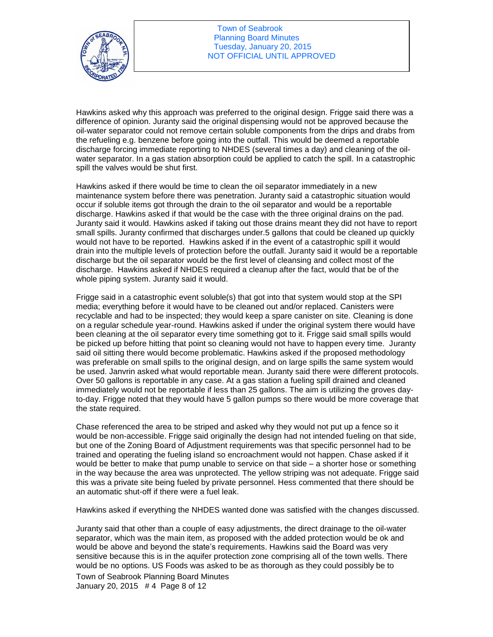

Hawkins asked why this approach was preferred to the original design. Frigge said there was a difference of opinion. Juranty said the original dispensing would not be approved because the oil-water separator could not remove certain soluble components from the drips and drabs from the refueling e.g. benzene before going into the outfall. This would be deemed a reportable discharge forcing immediate reporting to NHDES (several times a day) and cleaning of the oilwater separator. In a gas station absorption could be applied to catch the spill. In a catastrophic spill the valves would be shut first.

Hawkins asked if there would be time to clean the oil separator immediately in a new maintenance system before there was penetration. Juranty said a catastrophic situation would occur if soluble items got through the drain to the oil separator and would be a reportable discharge. Hawkins asked if that would be the case with the three original drains on the pad. Juranty said it would. Hawkins asked if taking out those drains meant they did not have to report small spills. Juranty confirmed that discharges under.5 gallons that could be cleaned up quickly would not have to be reported. Hawkins asked if in the event of a catastrophic spill it would drain into the multiple levels of protection before the outfall. Juranty said it would be a reportable discharge but the oil separator would be the first level of cleansing and collect most of the discharge. Hawkins asked if NHDES required a cleanup after the fact, would that be of the whole piping system. Juranty said it would.

Frigge said in a catastrophic event soluble(s) that got into that system would stop at the SPI media; everything before it would have to be cleaned out and/or replaced. Canisters were recyclable and had to be inspected; they would keep a spare canister on site. Cleaning is done on a regular schedule year-round. Hawkins asked if under the original system there would have been cleaning at the oil separator every time something got to it. Frigge said small spills would be picked up before hitting that point so cleaning would not have to happen every time. Juranty said oil sitting there would become problematic. Hawkins asked if the proposed methodology was preferable on small spills to the original design, and on large spills the same system would be used. Janvrin asked what would reportable mean. Juranty said there were different protocols. Over 50 gallons is reportable in any case. At a gas station a fueling spill drained and cleaned immediately would not be reportable if less than 25 gallons. The aim is utilizing the groves dayto-day. Frigge noted that they would have 5 gallon pumps so there would be more coverage that the state required.

Chase referenced the area to be striped and asked why they would not put up a fence so it would be non-accessible. Frigge said originally the design had not intended fueling on that side, but one of the Zoning Board of Adjustment requirements was that specific personnel had to be trained and operating the fueling island so encroachment would not happen. Chase asked if it would be better to make that pump unable to service on that side – a shorter hose or something in the way because the area was unprotected. The yellow striping was not adequate. Frigge said this was a private site being fueled by private personnel. Hess commented that there should be an automatic shut-off if there were a fuel leak.

Hawkins asked if everything the NHDES wanted done was satisfied with the changes discussed.

Juranty said that other than a couple of easy adjustments, the direct drainage to the oil-water separator, which was the main item, as proposed with the added protection would be ok and would be above and beyond the state's requirements. Hawkins said the Board was very sensitive because this is in the aquifer protection zone comprising all of the town wells. There would be no options. US Foods was asked to be as thorough as they could possibly be to

Town of Seabrook Planning Board Minutes January 20, 2015 # 4 Page 8 of 12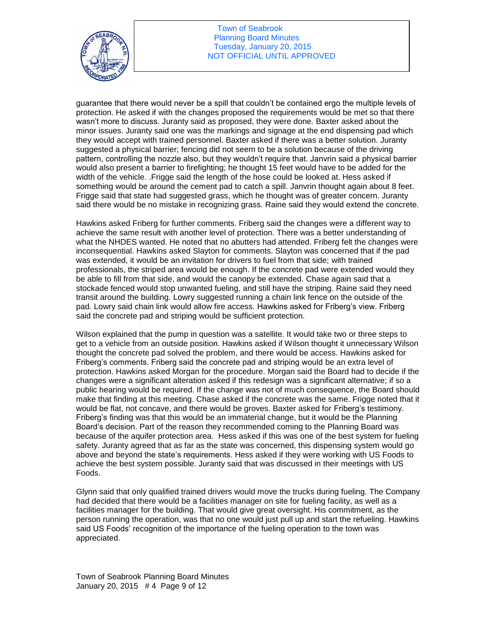

guarantee that there would never be a spill that couldn't be contained ergo the multiple levels of protection. He asked if with the changes proposed the requirements would be met so that there wasn't more to discuss. Juranty said as proposed, they were done. Baxter asked about the minor issues. Juranty said one was the markings and signage at the end dispensing pad which they would accept with trained personnel. Baxter asked if there was a better solution. Juranty suggested a physical barrier; fencing did not seem to be a solution because of the driving pattern, controlling the nozzle also, but they wouldn't require that. Janvrin said a physical barrier would also present a barrier to firefighting; he thought 15 feet would have to be added for the width of the vehicle. .Frigge said the length of the hose could be looked at. Hess asked if something would be around the cement pad to catch a spill. Janvrin thought again about 8 feet. Frigge said that state had suggested grass, which he thought was of greater concern. Juranty said there would be no mistake in recognizing grass. Raine said they would extend the concrete.

Hawkins asked Friberg for further comments. Friberg said the changes were a different way to achieve the same result with another level of protection. There was a better understanding of what the NHDES wanted. He noted that no abutters had attended. Friberg felt the changes were inconsequential. Hawkins asked Slayton for comments. Slayton was concerned that if the pad was extended, it would be an invitation for drivers to fuel from that side; with trained professionals, the striped area would be enough. If the concrete pad were extended would they be able to fill from that side, and would the canopy be extended. Chase again said that a stockade fenced would stop unwanted fueling, and still have the striping. Raine said they need transit around the building. Lowry suggested running a chain link fence on the outside of the pad. Lowry said chain link would allow fire access. Hawkins asked for Friberg's view. Friberg said the concrete pad and striping would be sufficient protection.

Wilson explained that the pump in question was a satellite. It would take two or three steps to get to a vehicle from an outside position. Hawkins asked if Wilson thought it unnecessary Wilson thought the concrete pad solved the problem, and there would be access. Hawkins asked for Friberg's comments. Friberg said the concrete pad and striping would be an extra level of protection. Hawkins asked Morgan for the procedure. Morgan said the Board had to decide if the changes were a significant alteration asked if this redesign was a significant alternative; if so a public hearing would be required. If the change was not of much consequence, the Board should make that finding at this meeting. Chase asked if the concrete was the same. Frigge noted that it would be flat, not concave, and there would be groves. Baxter asked for Friberg's testimony. Friberg's finding was that this would be an immaterial change, but it would be the Planning Board's decision. Part of the reason they recommended coming to the Planning Board was because of the aquifer protection area. Hess asked if this was one of the best system for fueling safety. Juranty agreed that as far as the state was concerned, this dispensing system would go above and beyond the state's requirements. Hess asked if they were working with US Foods to achieve the best system possible. Juranty said that was discussed in their meetings with US Foods.

Glynn said that only qualified trained drivers would move the trucks during fueling. The Company had decided that there would be a facilities manager on site for fueling facility, as well as a facilities manager for the building. That would give great oversight. His commitment, as the person running the operation, was that no one would just pull up and start the refueling. Hawkins said US Foods' recognition of the importance of the fueling operation to the town was appreciated.

Town of Seabrook Planning Board Minutes January 20, 2015 # 4 Page 9 of 12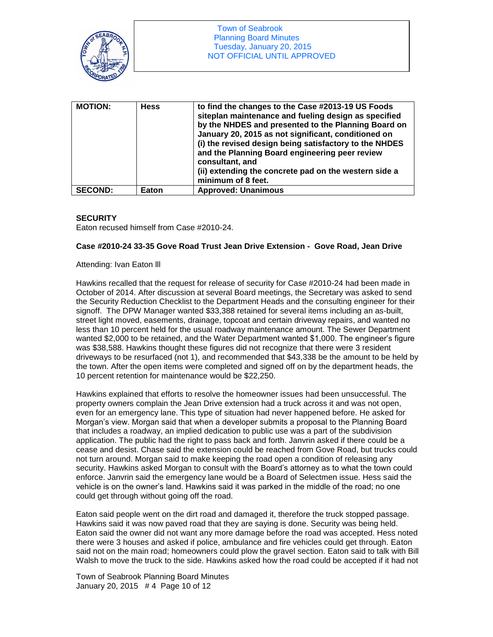

| <b>MOTION:</b> | <b>Hess</b> | to find the changes to the Case #2013-19 US Foods<br>siteplan maintenance and fueling design as specified<br>by the NHDES and presented to the Planning Board on<br>January 20, 2015 as not significant, conditioned on<br>(i) the revised design being satisfactory to the NHDES<br>and the Planning Board engineering peer review<br>consultant, and<br>(ii) extending the concrete pad on the western side a<br>minimum of 8 feet. |
|----------------|-------------|---------------------------------------------------------------------------------------------------------------------------------------------------------------------------------------------------------------------------------------------------------------------------------------------------------------------------------------------------------------------------------------------------------------------------------------|
| <b>SECOND:</b> | Eaton       | <b>Approved: Unanimous</b>                                                                                                                                                                                                                                                                                                                                                                                                            |

## **SECURITY**

Eaton recused himself from Case #2010-24.

## **Case #2010-24 33-35 Gove Road Trust Jean Drive Extension - Gove Road, Jean Drive**

#### Attending: Ivan Eaton lll

Hawkins recalled that the request for release of security for Case #2010-24 had been made in October of 2014. After discussion at several Board meetings, the Secretary was asked to send the Security Reduction Checklist to the Department Heads and the consulting engineer for their signoff. The DPW Manager wanted \$33,388 retained for several items including an as-built, street light moved, easements, drainage, topcoat and certain driveway repairs, and wanted no less than 10 percent held for the usual roadway maintenance amount. The Sewer Department wanted \$2,000 to be retained, and the Water Department wanted \$1,000. The engineer's figure was \$38,588. Hawkins thought these figures did not recognize that there were 3 resident driveways to be resurfaced (not 1), and recommended that \$43,338 be the amount to be held by the town. After the open items were completed and signed off on by the department heads, the 10 percent retention for maintenance would be \$22,250.

Hawkins explained that efforts to resolve the homeowner issues had been unsuccessful. The property owners complain the Jean Drive extension had a truck across it and was not open, even for an emergency lane. This type of situation had never happened before. He asked for Morgan's view. Morgan said that when a developer submits a proposal to the Planning Board that includes a roadway, an implied dedication to public use was a part of the subdivision application. The public had the right to pass back and forth. Janvrin asked if there could be a cease and desist. Chase said the extension could be reached from Gove Road, but trucks could not turn around. Morgan said to make keeping the road open a condition of releasing any security. Hawkins asked Morgan to consult with the Board's attorney as to what the town could enforce. Janvrin said the emergency lane would be a Board of Selectmen issue. Hess said the vehicle is on the owner's land. Hawkins said it was parked in the middle of the road; no one could get through without going off the road.

Eaton said people went on the dirt road and damaged it, therefore the truck stopped passage. Hawkins said it was now paved road that they are saying is done. Security was being held. Eaton said the owner did not want any more damage before the road was accepted. Hess noted there were 3 houses and asked if police, ambulance and fire vehicles could get through. Eaton said not on the main road; homeowners could plow the gravel section. Eaton said to talk with Bill Walsh to move the truck to the side. Hawkins asked how the road could be accepted if it had not

Town of Seabrook Planning Board Minutes January 20, 2015 # 4 Page 10 of 12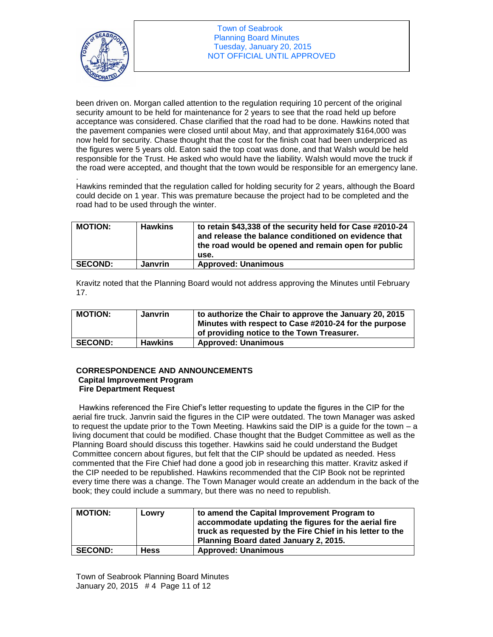

been driven on. Morgan called attention to the regulation requiring 10 percent of the original security amount to be held for maintenance for 2 years to see that the road held up before acceptance was considered. Chase clarified that the road had to be done. Hawkins noted that the pavement companies were closed until about May, and that approximately \$164,000 was now held for security. Chase thought that the cost for the finish coat had been underpriced as the figures were 5 years old. Eaton said the top coat was done, and that Walsh would be held responsible for the Trust. He asked who would have the liability. Walsh would move the truck if the road were accepted, and thought that the town would be responsible for an emergency lane.

. Hawkins reminded that the regulation called for holding security for 2 years, although the Board could decide on 1 year. This was premature because the project had to be completed and the road had to be used through the winter.

| <b>MOTION:</b> | <b>Hawkins</b> | to retain \$43,338 of the security held for Case #2010-24<br>and release the balance conditioned on evidence that<br>the road would be opened and remain open for public<br>use. |
|----------------|----------------|----------------------------------------------------------------------------------------------------------------------------------------------------------------------------------|
| <b>SECOND:</b> | <b>Janvrin</b> | <b>Approved: Unanimous</b>                                                                                                                                                       |

Kravitz noted that the Planning Board would not address approving the Minutes until February 17.

| <b>MOTION:</b> | Janvrin        | to authorize the Chair to approve the January 20, 2015<br>Minutes with respect to Case #2010-24 for the purpose<br>of providing notice to the Town Treasurer. |
|----------------|----------------|---------------------------------------------------------------------------------------------------------------------------------------------------------------|
| <b>SECOND:</b> | <b>Hawkins</b> | <b>Approved: Unanimous</b>                                                                                                                                    |

## **CORRESPONDENCE AND ANNOUNCEMENTS Capital Improvement Program Fire Department Request**

Hawkins referenced the Fire Chief's letter requesting to update the figures in the CIP for the aerial fire truck. Janvrin said the figures in the CIP were outdated. The town Manager was asked to request the update prior to the Town Meeting. Hawkins said the DIP is a guide for the town – a living document that could be modified. Chase thought that the Budget Committee as well as the Planning Board should discuss this together. Hawkins said he could understand the Budget Committee concern about figures, but felt that the CIP should be updated as needed. Hess commented that the Fire Chief had done a good job in researching this matter. Kravitz asked if the CIP needed to be republished. Hawkins recommended that the CIP Book not be reprinted every time there was a change. The Town Manager would create an addendum in the back of the book; they could include a summary, but there was no need to republish.

| <b>MOTION:</b> | Lowry       | to amend the Capital Improvement Program to<br>accommodate updating the figures for the aerial fire<br>truck as requested by the Fire Chief in his letter to the<br>Planning Board dated January 2, 2015. |
|----------------|-------------|-----------------------------------------------------------------------------------------------------------------------------------------------------------------------------------------------------------|
| <b>SECOND:</b> | <b>Hess</b> | <b>Approved: Unanimous</b>                                                                                                                                                                                |